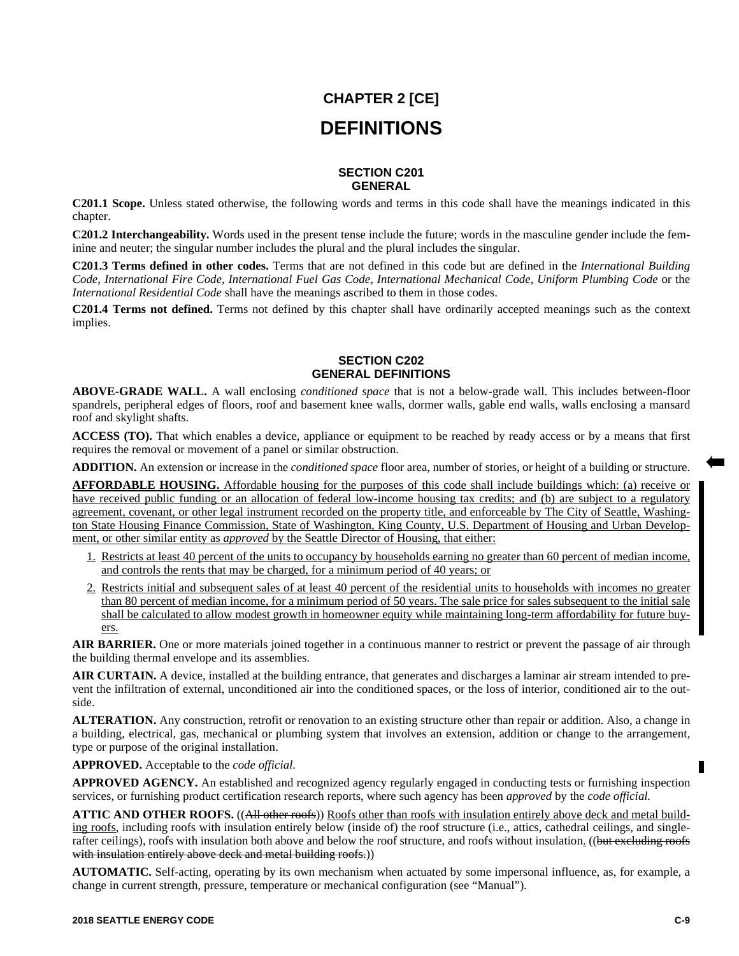# **CHAPTER 2 [CE] DEFINITIONS**

#### **SECTION C201 GENERAL**

**C201.1 Scope.** Unless stated otherwise, the following words and terms in this code shall have the meanings indicated in this chapter.

**C201.2 Interchangeability.** Words used in the present tense include the future; words in the masculine gender include the feminine and neuter; the singular number includes the plural and the plural includes the singular.

**C201.3 Terms defined in other codes.** Terms that are not defined in this code but are defined in the *International Building Code, International Fire Code, International Fuel Gas Code, International Mechanical Code, Uniform Plumbing Code* or the *International Residential Code* shall have the meanings ascribed to them in those codes.

**C201.4 Terms not defined.** Terms not defined by this chapter shall have ordinarily accepted meanings such as the context implies.

### **SECTION C202 GENERAL DEFINITIONS**

**ABOVE-GRADE WALL.** A wall enclosing *conditioned space* that is not a below-grade wall. This includes between-floor spandrels, peripheral edges of floors, roof and basement knee walls, dormer walls, gable end walls, walls enclosing a mansard roof and skylight shafts.

**ACCESS (TO).** That which enables a device, appliance or equipment to be reached by ready access or by a means that first requires the removal or movement of a panel or similar obstruction.

**ADDITION.** An extension or increase in the *conditioned space* floor area, number of stories, or height of a building or structure.

**AFFORDABLE HOUSING.** Affordable housing for the purposes of this code shall include buildings which: (a) receive or have received public funding or an allocation of federal low-income housing tax credits; and (b) are subject to a regulatory agreement, covenant, or other legal instrument recorded on the property title, and enforceable by The City of Seattle, Washington State Housing Finance Commission, State of Washington, King County, U.S. Department of Housing and Urban Development, or other similar entity as *approved* by the Seattle Director of Housing, that either:

- 1. Restricts at least 40 percent of the units to occupancy by households earning no greater than 60 percent of median income, and controls the rents that may be charged, for a minimum period of 40 years; or
- 2. Restricts initial and subsequent sales of at least 40 percent of the residential units to households with incomes no greater than 80 percent of median income, for a minimum period of 50 years. The sale price for sales subsequent to the initial sale shall be calculated to allow modest growth in homeowner equity while maintaining long-term affordability for future buyers.

AIR BARRIER. One or more materials joined together in a continuous manner to restrict or prevent the passage of air through the building thermal envelope and its assemblies.

**AIR CURTAIN.** A device, installed at the building entrance, that generates and discharges a laminar air stream intended to prevent the infiltration of external, unconditioned air into the conditioned spaces, or the loss of interior, conditioned air to the outside.

**ALTERATION.** Any construction, retrofit or renovation to an existing structure other than repair or addition. Also, a change in a building, electrical, gas, mechanical or plumbing system that involves an extension, addition or change to the arrangement, type or purpose of the original installation.

**APPROVED.** Acceptable to the *code official.*

APPROVED AGENCY. An established and recognized agency regularly engaged in conducting tests or furnishing inspection services, or furnishing product certification research reports, where such agency has been *approved* by the *code official.*

**ATTIC AND OTHER ROOFS.** ((All other roofs)) Roofs other than roofs with insulation entirely above deck and metal building roofs, including roofs with insulation entirely below (inside of) the roof structure (i.e., attics, cathedral ceilings, and singlerafter ceilings), roofs with insulation both above and below the roof structure, and roofs without insulation. ((but excluding roofs with insulation entirely above deck and metal building roofs.))

**AUTOMATIC.** Self-acting, operating by its own mechanism when actuated by some impersonal influence, as, for example, a change in current strength, pressure, temperature or mechanical configuration (see "Manual").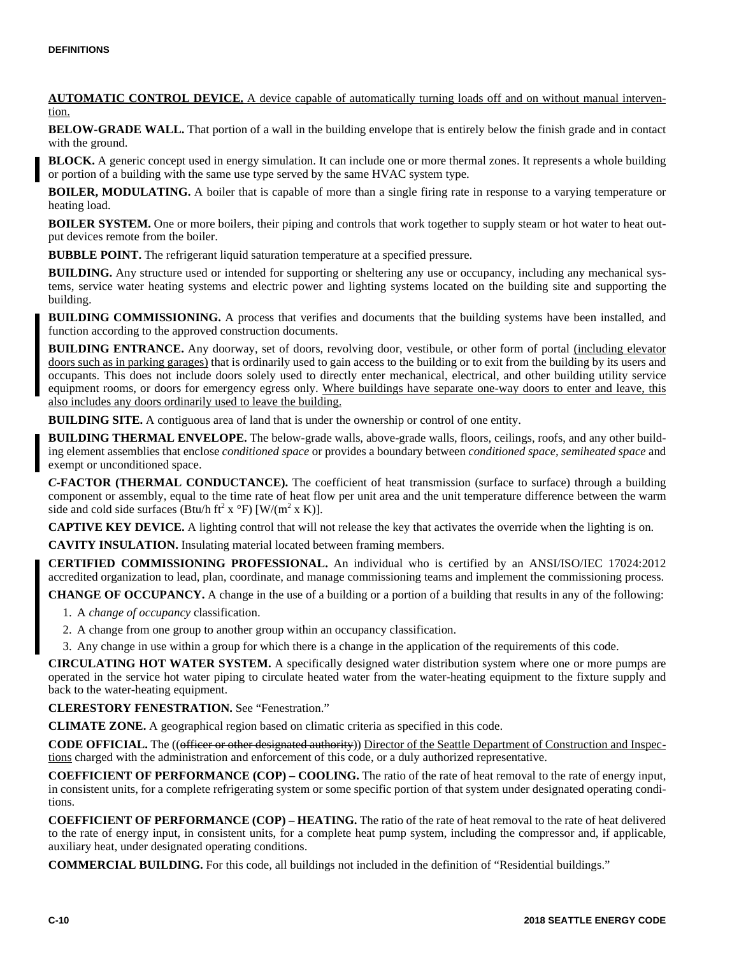**AUTOMATIC CONTROL DEVICE.** A device capable of automatically turning loads off and on without manual intervention.

**BELOW-GRADE WALL.** That portion of a wall in the building envelope that is entirely below the finish grade and in contact with the ground.

**BLOCK.** A generic concept used in energy simulation. It can include one or more thermal zones. It represents a whole building or portion of a building with the same use type served by the same HVAC system type.

**BOILER, MODULATING.** A boiler that is capable of more than a single firing rate in response to a varying temperature or heating load.

**BOILER SYSTEM.** One or more boilers, their piping and controls that work together to supply steam or hot water to heat output devices remote from the boiler.

**BUBBLE POINT.** The refrigerant liquid saturation temperature at a specified pressure.

**BUILDING.** Any structure used or intended for supporting or sheltering any use or occupancy, including any mechanical systems, service water heating systems and electric power and lighting systems located on the building site and supporting the building.

**BUILDING COMMISSIONING.** A process that verifies and documents that the building systems have been installed, and function according to the approved construction documents.

**BUILDING ENTRANCE.** Any doorway, set of doors, revolving door, vestibule, or other form of portal (including elevator doors such as in parking garages) that is ordinarily used to gain access to the building or to exit from the building by its users and occupants. This does not include doors solely used to directly enter mechanical, electrical, and other building utility service equipment rooms, or doors for emergency egress only. Where buildings have separate one-way doors to enter and leave, this also includes any doors ordinarily used to leave the building.

**BUILDING SITE.** A contiguous area of land that is under the ownership or control of one entity.

**BUILDING THERMAL ENVELOPE.** The below-grade walls, above-grade walls, floors, ceilings, roofs, and any other building element assemblies that enclose *conditioned space* or provides a boundary between *conditioned space, semiheated space* and exempt or unconditioned space.

*C-***FACTOR (THERMAL CONDUCTANCE).** The coefficient of heat transmission (surface to surface) through a building component or assembly, equal to the time rate of heat flow per unit area and the unit temperature difference between the warm side and cold side surfaces (Btu/h ft<sup>2</sup> x  $\rm{^{\circ}F}$ ) [W/(m<sup>2</sup> x K)].

**CAPTIVE KEY DEVICE.** A lighting control that will not release the key that activates the override when the lighting is on.

**CAVITY INSULATION.** Insulating material located between framing members.

**CERTIFIED COMMISSIONING PROFESSIONAL.** An individual who is certified by an ANSI/ISO/IEC 17024:2012 accredited organization to lead, plan, coordinate, and manage commissioning teams and implement the commissioning process.

**CHANGE OF OCCUPANCY.** A change in the use of a building or a portion of a building that results in any of the following:

- 1. A *change of occupancy* classification.
- 2. A change from one group to another group within an occupancy classification.
- 3. Any change in use within a group for which there is a change in the application of the requirements of this code.

**CIRCULATING HOT WATER SYSTEM.** A specifically designed water distribution system where one or more pumps are operated in the service hot water piping to circulate heated water from the water-heating equipment to the fixture supply and back to the water-heating equipment.

**CLERESTORY FENESTRATION.** See "Fenestration."

**CLIMATE ZONE.** A geographical region based on climatic criteria as specified in this code.

**CODE OFFICIAL.** The ((officer or other designated authority)) Director of the Seattle Department of Construction and Inspections charged with the administration and enforcement of this code, or a duly authorized representative.

**COEFFICIENT OF PERFORMANCE (COP) – COOLING.** The ratio of the rate of heat removal to the rate of energy input, in consistent units, for a complete refrigerating system or some specific portion of that system under designated operating conditions.

**COEFFICIENT OF PERFORMANCE (COP) – HEATING.** The ratio of the rate of heat removal to the rate of heat delivered to the rate of energy input, in consistent units, for a complete heat pump system, including the compressor and, if applicable, auxiliary heat, under designated operating conditions.

**COMMERCIAL BUILDING.** For this code, all buildings not included in the definition of "Residential buildings."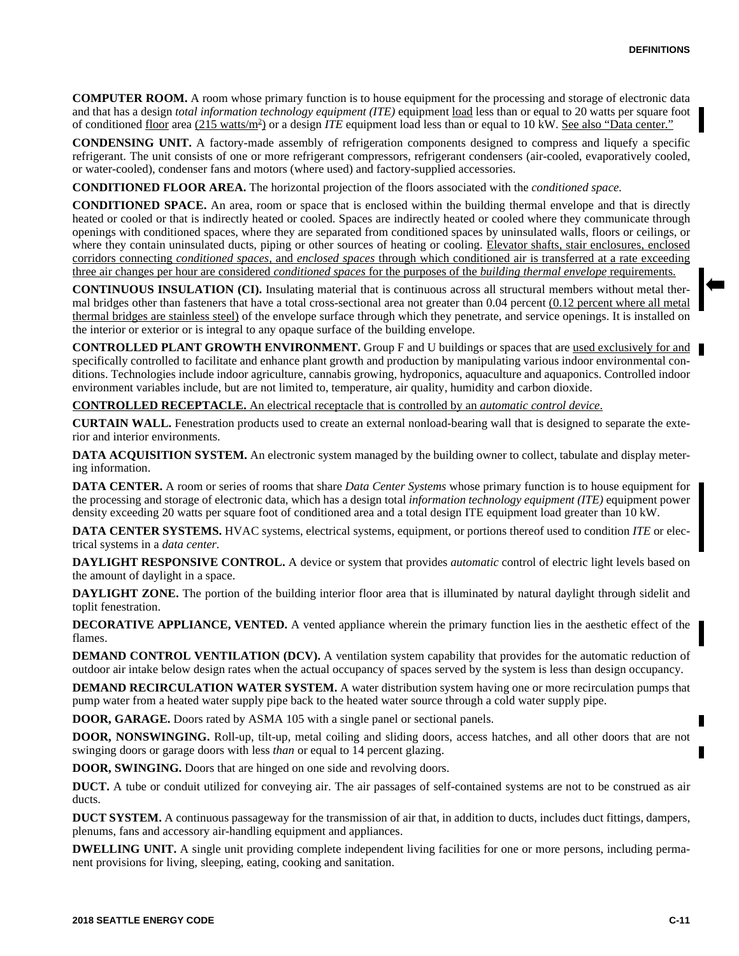**COMPUTER ROOM.** A room whose primary function is to house equipment for the processing and storage of electronic data and that has a design *total information technology equipment (ITE)* equipment load less than or equal to 20 watts per square foot of conditioned floor area (215 watts/m<sup>2</sup>) or a design *ITE* equipment load less than or equal to 10 kW. See also "Data center."

**CONDENSING UNIT.** A factory-made assembly of refrigeration components designed to compress and liquefy a specific refrigerant. The unit consists of one or more refrigerant compressors, refrigerant condensers (air-cooled, evaporatively cooled, or water-cooled), condenser fans and motors (where used) and factory-supplied accessories.

**CONDITIONED FLOOR AREA.** The horizontal projection of the floors associated with the *conditioned space.*

**CONDITIONED SPACE.** An area, room or space that is enclosed within the building thermal envelope and that is directly heated or cooled or that is indirectly heated or cooled. Spaces are indirectly heated or cooled where they communicate through openings with conditioned spaces, where they are separated from conditioned spaces by uninsulated walls, floors or ceilings, or where they contain uninsulated ducts, piping or other sources of heating or cooling. Elevator shafts, stair enclosures, enclosed corridors connecting *conditioned spaces,* and *enclosed spaces* through which conditioned air is transferred at a rate exceeding three air changes per hour are considered *conditioned spaces* for the purposes of the *building thermal envelope* requirements.

**CONTINUOUS INSULATION (CI).** Insulating material that is continuous across all structural members without metal thermal bridges other than fasteners that have a total cross-sectional area not greater than 0.04 percent (0.12 percent where all metal thermal bridges are stainless steel) of the envelope surface through which they penetrate, and service openings. It is installed on the interior or exterior or is integral to any opaque surface of the building envelope.

**CONTROLLED PLANT GROWTH ENVIRONMENT.** Group F and U buildings or spaces that are used exclusively for and specifically controlled to facilitate and enhance plant growth and production by manipulating various indoor environmental conditions. Technologies include indoor agriculture, cannabis growing, hydroponics, aquaculture and aquaponics. Controlled indoor environment variables include, but are not limited to, temperature, air quality, humidity and carbon dioxide.

**CONTROLLED RECEPTACLE.** An electrical receptacle that is controlled by an *automatic control device*.

**CURTAIN WALL.** Fenestration products used to create an external nonload-bearing wall that is designed to separate the exterior and interior environments.

**DATA ACQUISITION SYSTEM.** An electronic system managed by the building owner to collect, tabulate and display metering information.

**DATA CENTER.** A room or series of rooms that share *Data Center Systems* whose primary function is to house equipment for the processing and storage of electronic data, which has a design total *information technology equipment (ITE)* equipment power density exceeding 20 watts per square foot of conditioned area and a total design ITE equipment load greater than 10 kW.

**DATA CENTER SYSTEMS.** HVAC systems, electrical systems, equipment, or portions thereof used to condition *ITE* or electrical systems in a *data center.*

**DAYLIGHT RESPONSIVE CONTROL.** A device or system that provides *automatic* control of electric light levels based on the amount of daylight in a space.

**DAYLIGHT ZONE.** The portion of the building interior floor area that is illuminated by natural daylight through sidelit and toplit fenestration.

**DECORATIVE APPLIANCE, VENTED.** A vented appliance wherein the primary function lies in the aesthetic effect of the flames.

**DEMAND CONTROL VENTILATION (DCV).** A ventilation system capability that provides for the automatic reduction of outdoor air intake below design rates when the actual occupancy of spaces served by the system is less than design occupancy.

**DEMAND RECIRCULATION WATER SYSTEM.** A water distribution system having one or more recirculation pumps that pump water from a heated water supply pipe back to the heated water source through a cold water supply pipe.

**DOOR, GARAGE.** Doors rated by ASMA 105 with a single panel or sectional panels.

**DOOR, NONSWINGING.** Roll-up, tilt-up, metal coiling and sliding doors, access hatches, and all other doors that are not swinging doors or garage doors with less *than* or equal to 14 percent glazing.

**DOOR, SWINGING.** Doors that are hinged on one side and revolving doors.

**DUCT.** A tube or conduit utilized for conveying air. The air passages of self-contained systems are not to be construed as air ducts.

**DUCT SYSTEM.** A continuous passageway for the transmission of air that, in addition to ducts, includes duct fittings, dampers, plenums, fans and accessory air-handling equipment and appliances.

**DWELLING UNIT.** A single unit providing complete independent living facilities for one or more persons, including permanent provisions for living, sleeping, eating, cooking and sanitation.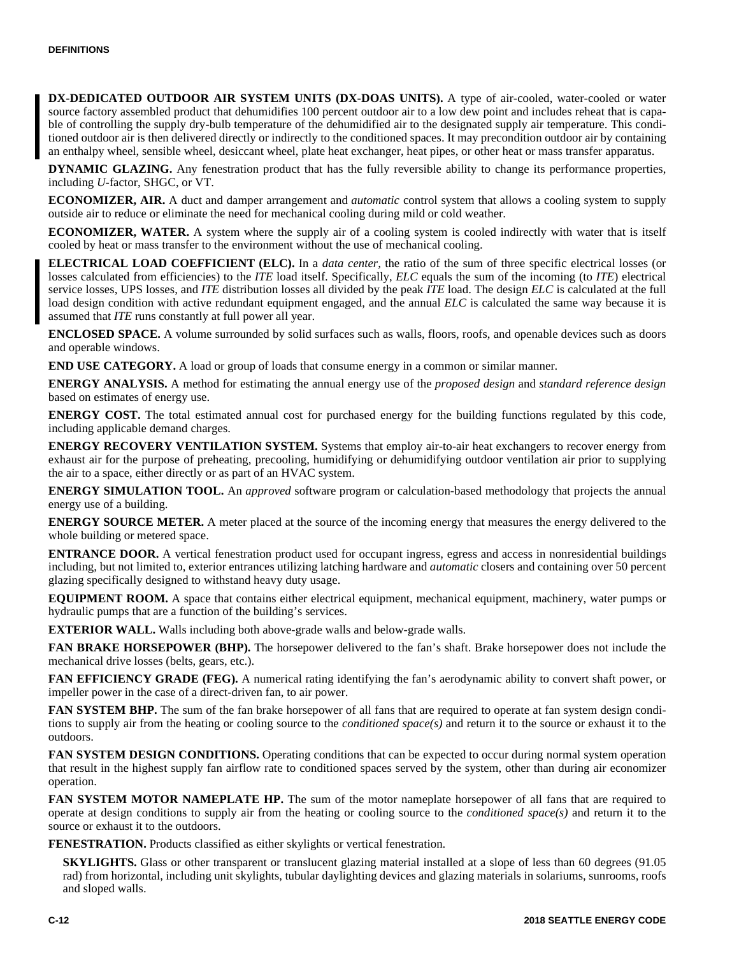**DX-DEDICATED OUTDOOR AIR SYSTEM UNITS (DX-DOAS UNITS).** A type of air-cooled, water-cooled or water source factory assembled product that dehumidifies 100 percent outdoor air to a low dew point and includes reheat that is capable of controlling the supply dry-bulb temperature of the dehumidified air to the designated supply air temperature. This conditioned outdoor air is then delivered directly or indirectly to the conditioned spaces. It may precondition outdoor air by containing an enthalpy wheel, sensible wheel, desiccant wheel, plate heat exchanger, heat pipes, or other heat or mass transfer apparatus.

**DYNAMIC GLAZING.** Any fenestration product that has the fully reversible ability to change its performance properties, including *U-*factor, SHGC, or VT.

**ECONOMIZER, AIR.** A duct and damper arrangement and *automatic* control system that allows a cooling system to supply outside air to reduce or eliminate the need for mechanical cooling during mild or cold weather.

**ECONOMIZER, WATER.** A system where the supply air of a cooling system is cooled indirectly with water that is itself cooled by heat or mass transfer to the environment without the use of mechanical cooling.

**ELECTRICAL LOAD COEFFICIENT (ELC).** In a *data center,* the ratio of the sum of three specific electrical losses (or losses calculated from efficiencies) to the *ITE* load itself. Specifically, *ELC* equals the sum of the incoming (to *ITE*) electrical service losses, UPS losses, and *ITE* distribution losses all divided by the peak *ITE* load. The design *ELC* is calculated at the full load design condition with active redundant equipment engaged, and the annual *ELC* is calculated the same way because it is assumed that *ITE* runs constantly at full power all year.

**ENCLOSED SPACE.** A volume surrounded by solid surfaces such as walls, floors, roofs, and openable devices such as doors and operable windows.

**END USE CATEGORY.** A load or group of loads that consume energy in a common or similar manner.

**ENERGY ANALYSIS.** A method for estimating the annual energy use of the *proposed design* and *standard reference design* based on estimates of energy use.

**ENERGY COST.** The total estimated annual cost for purchased energy for the building functions regulated by this code, including applicable demand charges.

**ENERGY RECOVERY VENTILATION SYSTEM.** Systems that employ air-to-air heat exchangers to recover energy from exhaust air for the purpose of preheating, precooling, humidifying or dehumidifying outdoor ventilation air prior to supplying the air to a space, either directly or as part of an HVAC system.

**ENERGY SIMULATION TOOL.** An *approved* software program or calculation-based methodology that projects the annual energy use of a building.

**ENERGY SOURCE METER.** A meter placed at the source of the incoming energy that measures the energy delivered to the whole building or metered space.

**ENTRANCE DOOR.** A vertical fenestration product used for occupant ingress, egress and access in nonresidential buildings including, but not limited to, exterior entrances utilizing latching hardware and *automatic* closers and containing over 50 percent glazing specifically designed to withstand heavy duty usage.

**EQUIPMENT ROOM.** A space that contains either electrical equipment, mechanical equipment, machinery, water pumps or hydraulic pumps that are a function of the building's services.

**EXTERIOR WALL.** Walls including both above-grade walls and below-grade walls.

**FAN BRAKE HORSEPOWER (BHP).** The horsepower delivered to the fan's shaft. Brake horsepower does not include the mechanical drive losses (belts, gears, etc.).

**FAN EFFICIENCY GRADE (FEG).** A numerical rating identifying the fan's aerodynamic ability to convert shaft power, or impeller power in the case of a direct-driven fan, to air power.

**FAN SYSTEM BHP.** The sum of the fan brake horsepower of all fans that are required to operate at fan system design conditions to supply air from the heating or cooling source to the *conditioned space(s)* and return it to the source or exhaust it to the outdoors.

**FAN SYSTEM DESIGN CONDITIONS.** Operating conditions that can be expected to occur during normal system operation that result in the highest supply fan airflow rate to conditioned spaces served by the system, other than during air economizer operation.

**FAN SYSTEM MOTOR NAMEPLATE HP.** The sum of the motor nameplate horsepower of all fans that are required to operate at design conditions to supply air from the heating or cooling source to the *conditioned space(s)* and return it to the source or exhaust it to the outdoors.

**FENESTRATION.** Products classified as either skylights or vertical fenestration.

**SKYLIGHTS.** Glass or other transparent or translucent glazing material installed at a slope of less than 60 degrees (91.05) rad) from horizontal, including unit skylights, tubular daylighting devices and glazing materials in solariums, sunrooms, roofs and sloped walls.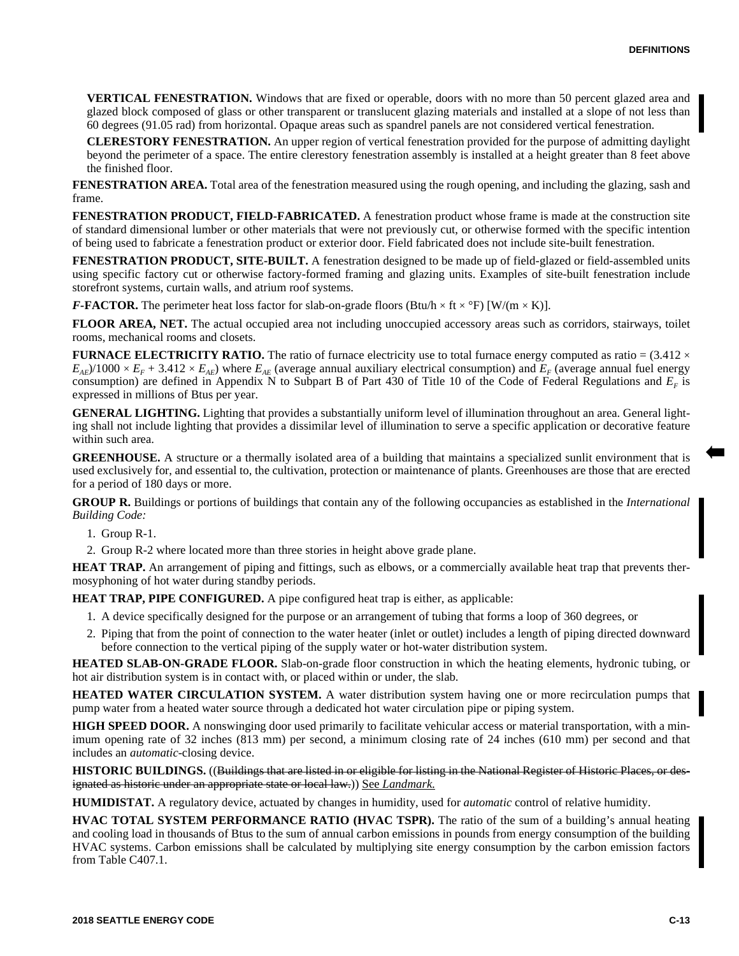**VERTICAL FENESTRATION.** Windows that are fixed or operable, doors with no more than 50 percent glazed area and glazed block composed of glass or other transparent or translucent glazing materials and installed at a slope of not less than 60 degrees (91.05 rad) from horizontal. Opaque areas such as spandrel panels are not considered vertical fenestration.

**CLERESTORY FENESTRATION.** An upper region of vertical fenestration provided for the purpose of admitting daylight beyond the perimeter of a space. The entire clerestory fenestration assembly is installed at a height greater than 8 feet above the finished floor.

**FENESTRATION AREA.** Total area of the fenestration measured using the rough opening, and including the glazing, sash and frame.

**FENESTRATION PRODUCT, FIELD-FABRICATED.** A fenestration product whose frame is made at the construction site of standard dimensional lumber or other materials that were not previously cut, or otherwise formed with the specific intention of being used to fabricate a fenestration product or exterior door. Field fabricated does not include site-built fenestration.

**FENESTRATION PRODUCT, SITE-BUILT.** A fenestration designed to be made up of field-glazed or field-assembled units using specific factory cut or otherwise factory-formed framing and glazing units. Examples of site-built fenestration include storefront systems, curtain walls, and atrium roof systems.

*F-***FACTOR.** The perimeter heat loss factor for slab-on-grade floors (Btu/h × ft × °F) [W/(m × K)].

**FLOOR AREA, NET.** The actual occupied area not including unoccupied accessory areas such as corridors, stairways, toilet rooms, mechanical rooms and closets.

**FURNACE ELECTRICITY RATIO.** The ratio of furnace electricity use to total furnace energy computed as ratio =  $(3.412 \times$  $E_{AE}$ )/1000 ×  $E_F$  + 3.412 ×  $E_{AE}$ ) where  $E_{AE}$  (average annual auxiliary electrical consumption) and  $E_F$  (average annual fuel energy consumption) are defined in Appendix N to Subpart B of Part 430 of Title 10 of the Code of Federal Regulations and *E<sup>F</sup>* is expressed in millions of Btus per year.

**GENERAL LIGHTING.** Lighting that provides a substantially uniform level of illumination throughout an area. General lighting shall not include lighting that provides a dissimilar level of illumination to serve a specific application or decorative feature within such area.

**GREENHOUSE.** A structure or a thermally isolated area of a building that maintains a specialized sunlit environment that is used exclusively for, and essential to, the cultivation, protection or maintenance of plants. Greenhouses are those that are erected for a period of 180 days or more.

**GROUP R.** Buildings or portions of buildings that contain any of the following occupancies as established in the *International Building Code:*

1. Group R-1.

2. Group R-2 where located more than three stories in height above grade plane.

**HEAT TRAP.** An arrangement of piping and fittings, such as elbows, or a commercially available heat trap that prevents thermosyphoning of hot water during standby periods.

**HEAT TRAP, PIPE CONFIGURED.** A pipe configured heat trap is either, as applicable:

- 1. A device specifically designed for the purpose or an arrangement of tubing that forms a loop of 360 degrees, or
- 2. Piping that from the point of connection to the water heater (inlet or outlet) includes a length of piping directed downward before connection to the vertical piping of the supply water or hot-water distribution system.

**HEATED SLAB-ON-GRADE FLOOR.** Slab-on-grade floor construction in which the heating elements, hydronic tubing, or hot air distribution system is in contact with, or placed within or under, the slab.

**HEATED WATER CIRCULATION SYSTEM.** A water distribution system having one or more recirculation pumps that pump water from a heated water source through a dedicated hot water circulation pipe or piping system.

**HIGH SPEED DOOR.** A nonswinging door used primarily to facilitate vehicular access or material transportation, with a minimum opening rate of 32 inches (813 mm) per second, a minimum closing rate of 24 inches (610 mm) per second and that includes an *automatic-*closing device.

**HISTORIC BUILDINGS.** ((Buildings that are listed in or eligible for listing in the National Register of Historic Places, or designated as historic under an appropriate state or local law.)) See *Landmark*.

**HUMIDISTAT.** A regulatory device, actuated by changes in humidity, used for *automatic* control of relative humidity.

**HVAC TOTAL SYSTEM PERFORMANCE RATIO (HVAC TSPR).** The ratio of the sum of a building's annual heating and cooling load in thousands of Btus to the sum of annual carbon emissions in pounds from energy consumption of the building HVAC systems. Carbon emissions shall be calculated by multiplying site energy consumption by the carbon emission factors from Table C407.1.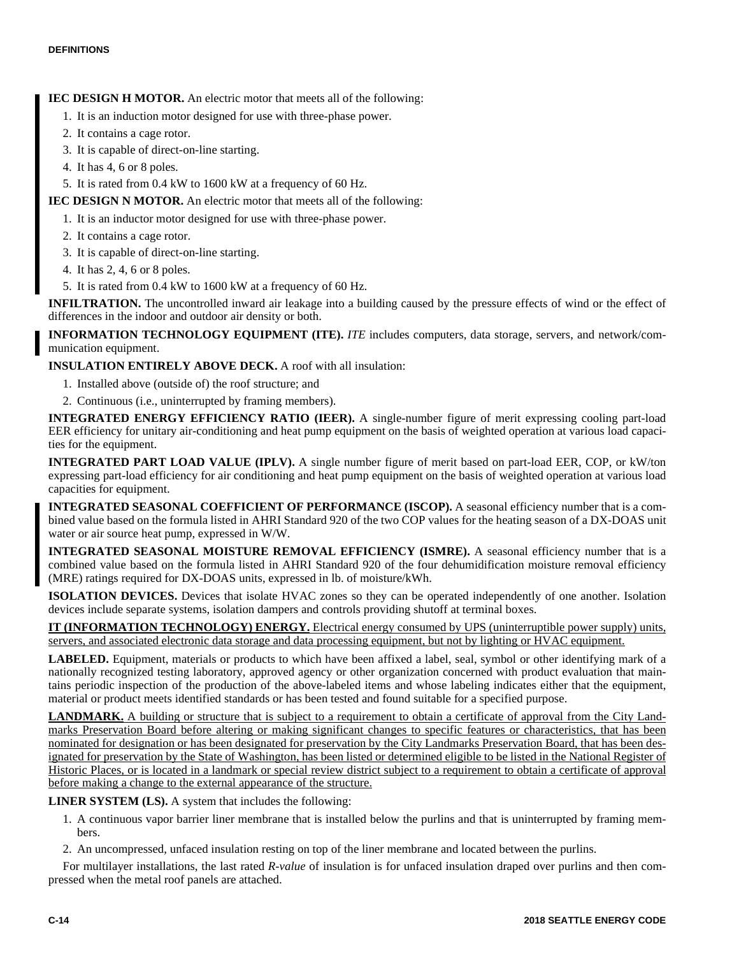## **IEC DESIGN H MOTOR.** An electric motor that meets all of the following:

- 1. It is an induction motor designed for use with three-phase power.
- 2. It contains a cage rotor.
- 3. It is capable of direct-on-line starting.
- 4. It has 4, 6 or 8 poles.
- 5. It is rated from 0.4 kW to 1600 kW at a frequency of 60 Hz.
- **IEC DESIGN N MOTOR.** An electric motor that meets all of the following:
	- 1. It is an inductor motor designed for use with three-phase power.
	- 2. It contains a cage rotor.
	- 3. It is capable of direct-on-line starting.
	- 4. It has 2, 4, 6 or 8 poles.
	- 5. It is rated from 0.4 kW to 1600 kW at a frequency of 60 Hz.

**INFILTRATION.** The uncontrolled inward air leakage into a building caused by the pressure effects of wind or the effect of differences in the indoor and outdoor air density or both.

**INFORMATION TECHNOLOGY EQUIPMENT (ITE).** *ITE* includes computers, data storage, servers, and network/communication equipment.

**INSULATION ENTIRELY ABOVE DECK.** A roof with all insulation:

- 1. Installed above (outside of) the roof structure; and
- 2. Continuous (i.e., uninterrupted by framing members).

**INTEGRATED ENERGY EFFICIENCY RATIO (IEER).** A single-number figure of merit expressing cooling part-load EER efficiency for unitary air-conditioning and heat pump equipment on the basis of weighted operation at various load capacities for the equipment.

**INTEGRATED PART LOAD VALUE (IPLV).** A single number figure of merit based on part-load EER, COP, or kW/ton expressing part-load efficiency for air conditioning and heat pump equipment on the basis of weighted operation at various load capacities for equipment.

**INTEGRATED SEASONAL COEFFICIENT OF PERFORMANCE (ISCOP).** A seasonal efficiency number that is a combined value based on the formula listed in AHRI Standard 920 of the two COP values for the heating season of a DX-DOAS unit water or air source heat pump, expressed in W/W.

**INTEGRATED SEASONAL MOISTURE REMOVAL EFFICIENCY (ISMRE).** A seasonal efficiency number that is a combined value based on the formula listed in AHRI Standard 920 of the four dehumidification moisture removal efficiency (MRE) ratings required for DX-DOAS units, expressed in lb. of moisture/kWh.

**ISOLATION DEVICES.** Devices that isolate HVAC zones so they can be operated independently of one another. Isolation devices include separate systems, isolation dampers and controls providing shutoff at terminal boxes.

**IT (INFORMATION TECHNOLOGY) ENERGY.** Electrical energy consumed by UPS (uninterruptible power supply) units, servers, and associated electronic data storage and data processing equipment, but not by lighting or HVAC equipment.

**LABELED.** Equipment, materials or products to which have been affixed a label, seal, symbol or other identifying mark of a nationally recognized testing laboratory, approved agency or other organization concerned with product evaluation that maintains periodic inspection of the production of the above-labeled items and whose labeling indicates either that the equipment, material or product meets identified standards or has been tested and found suitable for a specified purpose.

**LANDMARK.** A building or structure that is subject to a requirement to obtain a certificate of approval from the City Landmarks Preservation Board before altering or making significant changes to specific features or characteristics, that has been nominated for designation or has been designated for preservation by the City Landmarks Preservation Board, that has been designated for preservation by the State of Washington, has been listed or determined eligible to be listed in the National Register of Historic Places, or is located in a landmark or special review district subject to a requirement to obtain a certificate of approval before making a change to the external appearance of the structure.

**LINER SYSTEM (LS).** A system that includes the following:

- 1. A continuous vapor barrier liner membrane that is installed below the purlins and that is uninterrupted by framing members.
- 2. An uncompressed, unfaced insulation resting on top of the liner membrane and located between the purlins.

For multilayer installations, the last rated *R-value* of insulation is for unfaced insulation draped over purlins and then compressed when the metal roof panels are attached.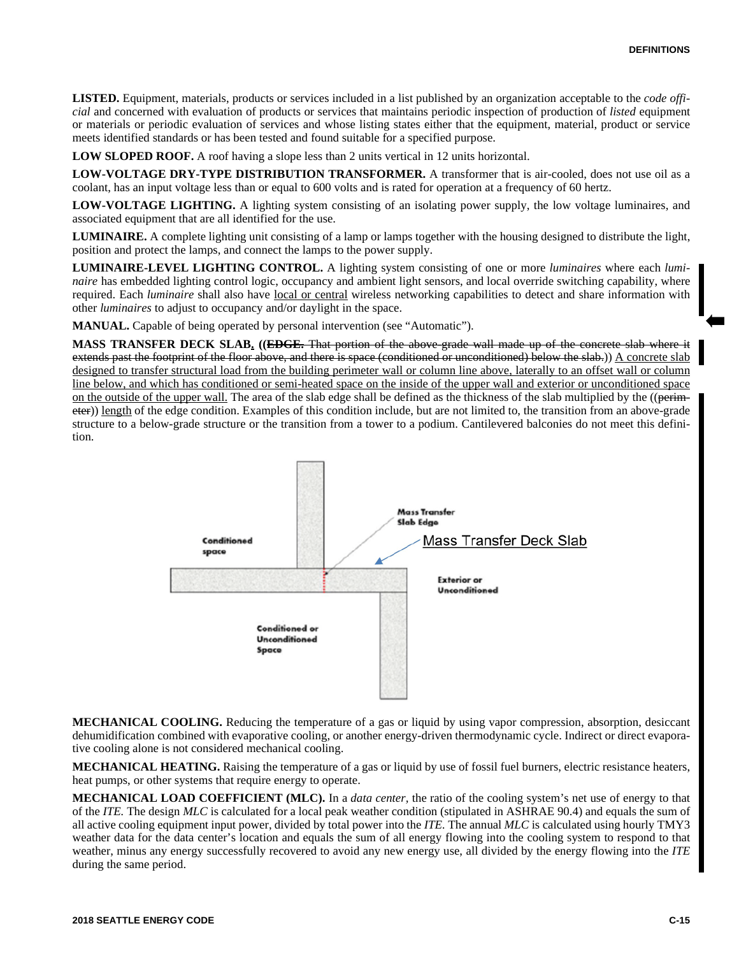**LISTED.** Equipment, materials, products or services included in a list published by an organization acceptable to the *code official* and concerned with evaluation of products or services that maintains periodic inspection of production of *listed* equipment or materials or periodic evaluation of services and whose listing states either that the equipment, material, product or service meets identified standards or has been tested and found suitable for a specified purpose.

**LOW SLOPED ROOF.** A roof having a slope less than 2 units vertical in 12 units horizontal.

**LOW-VOLTAGE DRY-TYPE DISTRIBUTION TRANSFORMER.** A transformer that is air-cooled, does not use oil as a coolant, has an input voltage less than or equal to 600 volts and is rated for operation at a frequency of 60 hertz.

**LOW-VOLTAGE LIGHTING.** A lighting system consisting of an isolating power supply, the low voltage luminaires, and associated equipment that are all identified for the use.

**LUMINAIRE.** A complete lighting unit consisting of a lamp or lamps together with the housing designed to distribute the light, position and protect the lamps, and connect the lamps to the power supply.

**LUMINAIRE-LEVEL LIGHTING CONTROL.** A lighting system consisting of one or more *luminaires* where each *luminaire* has embedded lighting control logic, occupancy and ambient light sensors, and local override switching capability, where required. Each *luminaire* shall also have local or central wireless networking capabilities to detect and share information with other *luminaires* to adjust to occupancy and/or daylight in the space.

**MANUAL.** Capable of being operated by personal intervention (see "Automatic").

**MASS TRANSFER DECK SLAB. ((EDGE.** That portion of the above-grade wall made up of the concrete slab where it extends past the footprint of the floor above, and there is space (conditioned or unconditioned) below the slab.)) A concrete slab designed to transfer structural load from the building perimeter wall or column line above, laterally to an offset wall or column line below, and which has conditioned or semi-heated space on the inside of the upper wall and exterior or unconditioned space on the outside of the upper wall. The area of the slab edge shall be defined as the thickness of the slab multiplied by the ((perimeter)) length of the edge condition. Examples of this condition include, but are not limited to, the transition from an above-grade structure to a below-grade structure or the transition from a tower to a podium. Cantilevered balconies do not meet this definition.



**MECHANICAL COOLING.** Reducing the temperature of a gas or liquid by using vapor compression, absorption, desiccant dehumidification combined with evaporative cooling, or another energy-driven thermodynamic cycle. Indirect or direct evaporative cooling alone is not considered mechanical cooling.

**MECHANICAL HEATING.** Raising the temperature of a gas or liquid by use of fossil fuel burners, electric resistance heaters, heat pumps, or other systems that require energy to operate.

**MECHANICAL LOAD COEFFICIENT (MLC).** In a *data center,* the ratio of the cooling system's net use of energy to that of the *ITE.* The design *MLC* is calculated for a local peak weather condition (stipulated in ASHRAE 90.4) and equals the sum of all active cooling equipment input power, divided by total power into the *ITE.* The annual *MLC* is calculated using hourly TMY3 weather data for the data center's location and equals the sum of all energy flowing into the cooling system to respond to that weather, minus any energy successfully recovered to avoid any new energy use, all divided by the energy flowing into the *ITE* during the same period.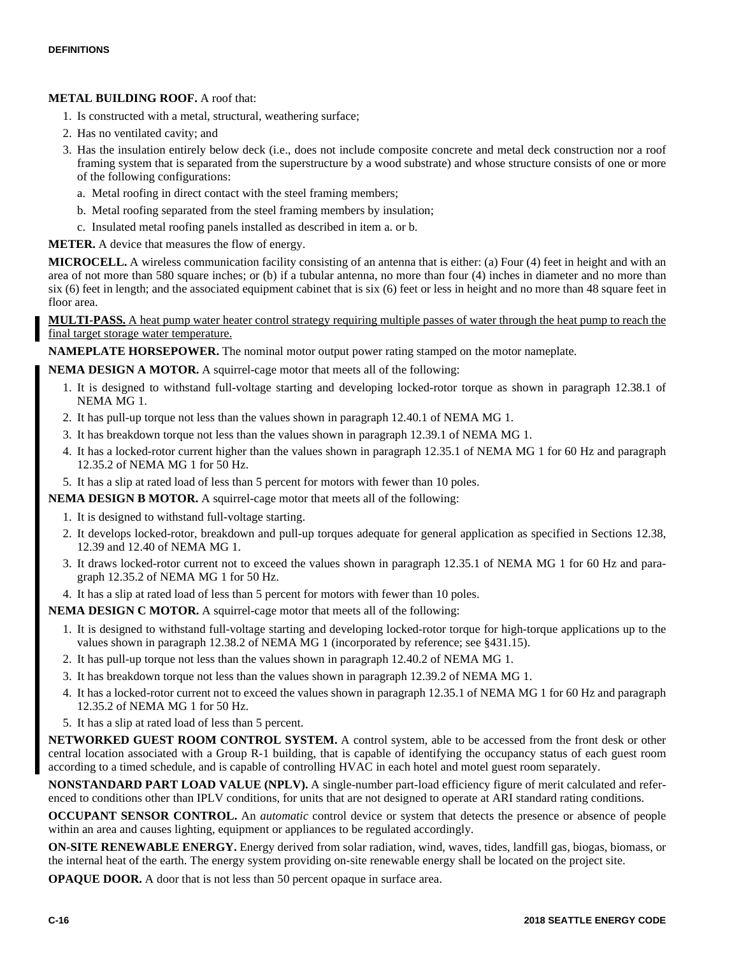## **METAL BUILDING ROOF.** A roof that:

- 1. Is constructed with a metal, structural, weathering surface;
- 2. Has no ventilated cavity; and
- 3. Has the insulation entirely below deck (i.e., does not include composite concrete and metal deck construction nor a roof framing system that is separated from the superstructure by a wood substrate) and whose structure consists of one or more of the following configurations:
	- a. Metal roofing in direct contact with the steel framing members;
	- b. Metal roofing separated from the steel framing members by insulation;
	- c. Insulated metal roofing panels installed as described in item a. or b.

**METER.** A device that measures the flow of energy.

**MICROCELL.** A wireless communication facility consisting of an antenna that is either: (a) Four (4) feet in height and with an area of not more than 580 square inches; or (b) if a tubular antenna, no more than four (4) inches in diameter and no more than six (6) feet in length; and the associated equipment cabinet that is six (6) feet or less in height and no more than 48 square feet in floor area.

**MULTI-PASS.** A heat pump water heater control strategy requiring multiple passes of water through the heat pump to reach the final target storage water temperature.

**NAMEPLATE HORSEPOWER.** The nominal motor output power rating stamped on the motor nameplate.

**NEMA DESIGN A MOTOR.** A squirrel-cage motor that meets all of the following:

- 1. It is designed to withstand full-voltage starting and developing locked-rotor torque as shown in paragraph 12.38.1 of NEMA MG 1.
- 2. It has pull-up torque not less than the values shown in paragraph 12.40.1 of NEMA MG 1.
- 3. It has breakdown torque not less than the values shown in paragraph 12.39.1 of NEMA MG 1.
- 4. It has a locked-rotor current higher than the values shown in paragraph 12.35.1 of NEMA MG 1 for 60 Hz and paragraph 12.35.2 of NEMA MG 1 for 50 Hz.
- 5. It has a slip at rated load of less than 5 percent for motors with fewer than 10 poles.

**NEMA DESIGN B MOTOR.** A squirrel-cage motor that meets all of the following:

- 1. It is designed to withstand full-voltage starting.
- 2. It develops locked-rotor, breakdown and pull-up torques adequate for general application as specified in Sections 12.38, 12.39 and 12.40 of NEMA MG 1.
- 3. It draws locked-rotor current not to exceed the values shown in paragraph 12.35.1 of NEMA MG 1 for 60 Hz and paragraph 12.35.2 of NEMA MG 1 for 50 Hz.
- 4. It has a slip at rated load of less than 5 percent for motors with fewer than 10 poles.

**NEMA DESIGN C MOTOR.** A squirrel-cage motor that meets all of the following:

- 1. It is designed to withstand full-voltage starting and developing locked-rotor torque for high-torque applications up to the values shown in paragraph 12.38.2 of NEMA MG 1 (incorporated by reference; see §431.15).
- 2. It has pull-up torque not less than the values shown in paragraph 12.40.2 of NEMA MG 1.
- 3. It has breakdown torque not less than the values shown in paragraph 12.39.2 of NEMA MG 1.
- 4. It has a locked-rotor current not to exceed the values shown in paragraph 12.35.1 of NEMA MG 1 for 60 Hz and paragraph 12.35.2 of NEMA MG 1 for 50 Hz.
- 5. It has a slip at rated load of less than 5 percent.

**NETWORKED GUEST ROOM CONTROL SYSTEM.** A control system, able to be accessed from the front desk or other central location associated with a Group R-1 building, that is capable of identifying the occupancy status of each guest room according to a timed schedule, and is capable of controlling HVAC in each hotel and motel guest room separately.

**NONSTANDARD PART LOAD VALUE (NPLV).** A single-number part-load efficiency figure of merit calculated and referenced to conditions other than IPLV conditions, for units that are not designed to operate at ARI standard rating conditions.

**OCCUPANT SENSOR CONTROL.** An *automatic* control device or system that detects the presence or absence of people within an area and causes lighting, equipment or appliances to be regulated accordingly.

**ON-SITE RENEWABLE ENERGY.** Energy derived from solar radiation, wind, waves, tides, landfill gas, biogas, biomass, or the internal heat of the earth. The energy system providing on-site renewable energy shall be located on the project site.

**OPAQUE DOOR.** A door that is not less than 50 percent opaque in surface area.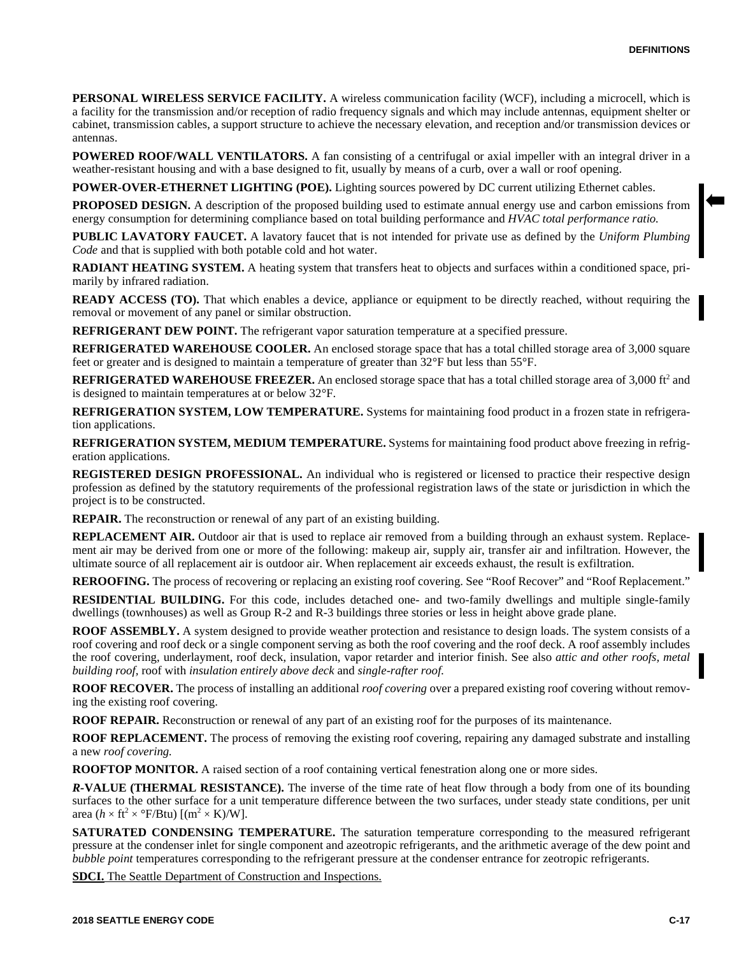**PERSONAL WIRELESS SERVICE FACILITY.** A wireless communication facility (WCF), including a microcell, which is a facility for the transmission and/or reception of radio frequency signals and which may include antennas, equipment shelter or cabinet, transmission cables, a support structure to achieve the necessary elevation, and reception and/or transmission devices or antennas.

**POWERED ROOF/WALL VENTILATORS.** A fan consisting of a centrifugal or axial impeller with an integral driver in a weather-resistant housing and with a base designed to fit, usually by means of a curb, over a wall or roof opening.

**POWER-OVER-ETHERNET LIGHTING (POE).** Lighting sources powered by DC current utilizing Ethernet cables.

**PROPOSED DESIGN.** A description of the proposed building used to estimate annual energy use and carbon emissions from energy consumption for determining compliance based on total building performance and *HVAC total performance ratio.*

**PUBLIC LAVATORY FAUCET.** A lavatory faucet that is not intended for private use as defined by the *Uniform Plumbing Code* and that is supplied with both potable cold and hot water.

**RADIANT HEATING SYSTEM.** A heating system that transfers heat to objects and surfaces within a conditioned space, primarily by infrared radiation.

**READY ACCESS (TO).** That which enables a device, appliance or equipment to be directly reached, without requiring the removal or movement of any panel or similar obstruction.

**REFRIGERANT DEW POINT.** The refrigerant vapor saturation temperature at a specified pressure.

**REFRIGERATED WAREHOUSE COOLER.** An enclosed storage space that has a total chilled storage area of 3,000 square feet or greater and is designed to maintain a temperature of greater than 32°F but less than 55°F.

**REFRIGERATED WAREHOUSE FREEZER.** An enclosed storage space that has a total chilled storage area of 3,000 ft<sup>2</sup> and is designed to maintain temperatures at or below 32°F.

**REFRIGERATION SYSTEM, LOW TEMPERATURE.** Systems for maintaining food product in a frozen state in refrigeration applications.

**REFRIGERATION SYSTEM, MEDIUM TEMPERATURE.** Systems for maintaining food product above freezing in refrigeration applications.

**REGISTERED DESIGN PROFESSIONAL.** An individual who is registered or licensed to practice their respective design profession as defined by the statutory requirements of the professional registration laws of the state or jurisdiction in which the project is to be constructed.

**REPAIR.** The reconstruction or renewal of any part of an existing building.

**REPLACEMENT AIR.** Outdoor air that is used to replace air removed from a building through an exhaust system. Replacement air may be derived from one or more of the following: makeup air, supply air, transfer air and infiltration. However, the ultimate source of all replacement air is outdoor air. When replacement air exceeds exhaust, the result is exfiltration.

**REROOFING.** The process of recovering or replacing an existing roof covering. See "Roof Recover" and "Roof Replacement."

**RESIDENTIAL BUILDING.** For this code, includes detached one- and two-family dwellings and multiple single-family dwellings (townhouses) as well as Group R-2 and R-3 buildings three stories or less in height above grade plane.

**ROOF ASSEMBLY.** A system designed to provide weather protection and resistance to design loads. The system consists of a roof covering and roof deck or a single component serving as both the roof covering and the roof deck. A roof assembly includes the roof covering, underlayment, roof deck, insulation, vapor retarder and interior finish. See also *attic and other roofs, metal building roof,* roof with *insulation entirely above deck* and *single-rafter roof.*

**ROOF RECOVER.** The process of installing an additional *roof covering* over a prepared existing roof covering without removing the existing roof covering.

**ROOF REPAIR.** Reconstruction or renewal of any part of an existing roof for the purposes of its maintenance.

**ROOF REPLACEMENT.** The process of removing the existing roof covering, repairing any damaged substrate and installing a new *roof covering.*

**ROOFTOP MONITOR.** A raised section of a roof containing vertical fenestration along one or more sides.

*R-***VALUE (THERMAL RESISTANCE).** The inverse of the time rate of heat flow through a body from one of its bounding surfaces to the other surface for a unit temperature difference between the two surfaces, under steady state conditions, per unit area ( $h \times \text{ft}^2 \times {}^{\circ}\text{F/Btu}$ ) [(m<sup>2</sup> × K)/W].

**SATURATED CONDENSING TEMPERATURE.** The saturation temperature corresponding to the measured refrigerant pressure at the condenser inlet for single component and azeotropic refrigerants, and the arithmetic average of the dew point and *bubble point* temperatures corresponding to the refrigerant pressure at the condenser entrance for zeotropic refrigerants.

**SDCI.** The Seattle Department of Construction and Inspections.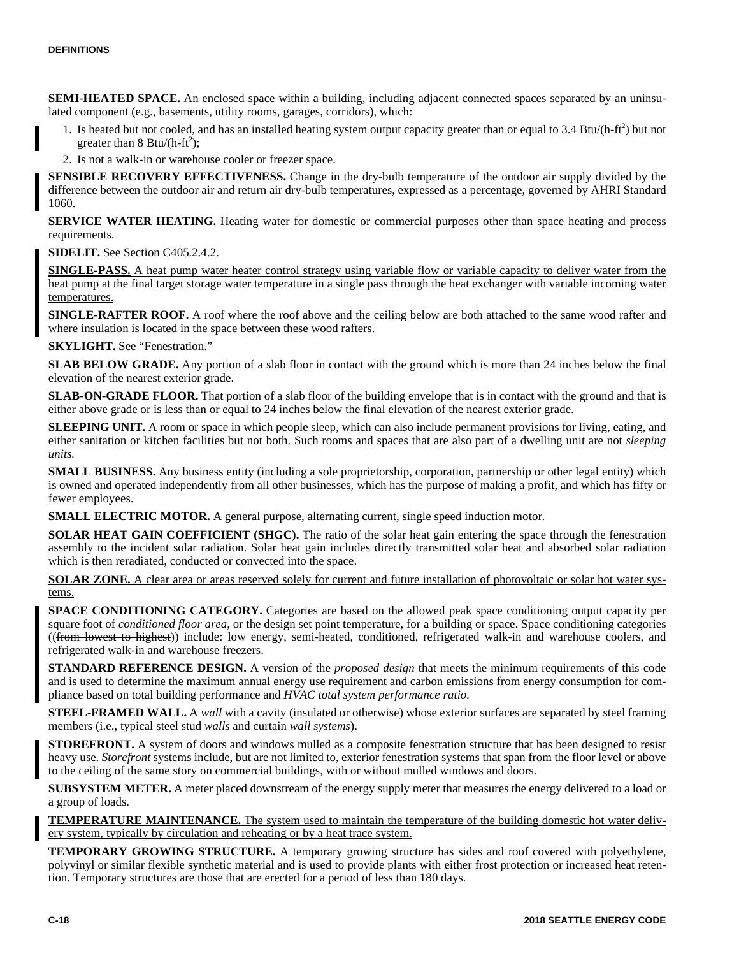**SEMI-HEATED SPACE.** An enclosed space within a building, including adjacent connected spaces separated by an uninsulated component (e.g., basements, utility rooms, garages, corridors), which:

- 1. Is heated but not cooled, and has an installed heating system output capacity greater than or equal to 3.4 Btu/(h-ft<sup>2</sup>) but not greater than  $8 \text{ Btu}/(\text{h-fit}^2)$ ;
- 2. Is not a walk-in or warehouse cooler or freezer space.

**SENSIBLE RECOVERY EFFECTIVENESS.** Change in the dry-bulb temperature of the outdoor air supply divided by the difference between the outdoor air and return air dry-bulb temperatures, expressed as a percentage, governed by AHRI Standard 1060.

**SERVICE WATER HEATING.** Heating water for domestic or commercial purposes other than space heating and process requirements.

**SIDELIT.** See Section C405.2.4.2.

**SINGLE-PASS.** A heat pump water heater control strategy using variable flow or variable capacity to deliver water from the heat pump at the final target storage water temperature in a single pass through the heat exchanger with variable incoming water temperatures.

**SINGLE-RAFTER ROOF.** A roof where the roof above and the ceiling below are both attached to the same wood rafter and where insulation is located in the space between these wood rafters.

**SKYLIGHT.** See "Fenestration."

**SLAB BELOW GRADE.** Any portion of a slab floor in contact with the ground which is more than 24 inches below the final elevation of the nearest exterior grade.

**SLAB-ON-GRADE FLOOR.** That portion of a slab floor of the building envelope that is in contact with the ground and that is either above grade or is less than or equal to 24 inches below the final elevation of the nearest exterior grade.

**SLEEPING UNIT.** A room or space in which people sleep, which can also include permanent provisions for living, eating, and either sanitation or kitchen facilities but not both. Such rooms and spaces that are also part of a dwelling unit are not *sleeping units.*

**SMALL BUSINESS.** Any business entity (including a sole proprietorship, corporation, partnership or other legal entity) which is owned and operated independently from all other businesses, which has the purpose of making a profit, and which has fifty or fewer employees.

**SMALL ELECTRIC MOTOR.** A general purpose, alternating current, single speed induction motor.

**SOLAR HEAT GAIN COEFFICIENT (SHGC).** The ratio of the solar heat gain entering the space through the fenestration assembly to the incident solar radiation. Solar heat gain includes directly transmitted solar heat and absorbed solar radiation which is then reradiated, conducted or convected into the space.

**SOLAR ZONE.** A clear area or areas reserved solely for current and future installation of photovoltaic or solar hot water systems.

**SPACE CONDITIONING CATEGORY.** Categories are based on the allowed peak space conditioning output capacity per square foot of *conditioned floor area,* or the design set point temperature, for a building or space. Space conditioning categories ((from lowest to highest)) include: low energy, semi-heated, conditioned, refrigerated walk-in and warehouse coolers, and refrigerated walk-in and warehouse freezers.

**STANDARD REFERENCE DESIGN.** A version of the *proposed design* that meets the minimum requirements of this code and is used to determine the maximum annual energy use requirement and carbon emissions from energy consumption for compliance based on total building performance and *HVAC total system performance ratio.*

**STEEL-FRAMED WALL.** A *wall* with a cavity (insulated or otherwise) whose exterior surfaces are separated by steel framing members (i.e., typical steel stud *walls* and curtain *wall systems*).

**STOREFRONT.** A system of doors and windows mulled as a composite fenestration structure that has been designed to resist heavy use. *Storefront* systems include, but are not limited to, exterior fenestration systems that span from the floor level or above to the ceiling of the same story on commercial buildings, with or without mulled windows and doors.

**SUBSYSTEM METER.** A meter placed downstream of the energy supply meter that measures the energy delivered to a load or a group of loads.

**TEMPERATURE MAINTENANCE.** The system used to maintain the temperature of the building domestic hot water delivery system, typically by circulation and reheating or by a heat trace system.

**TEMPORARY GROWING STRUCTURE.** A temporary growing structure has sides and roof covered with polyethylene, polyvinyl or similar flexible synthetic material and is used to provide plants with either frost protection or increased heat retention. Temporary structures are those that are erected for a period of less than 180 days.